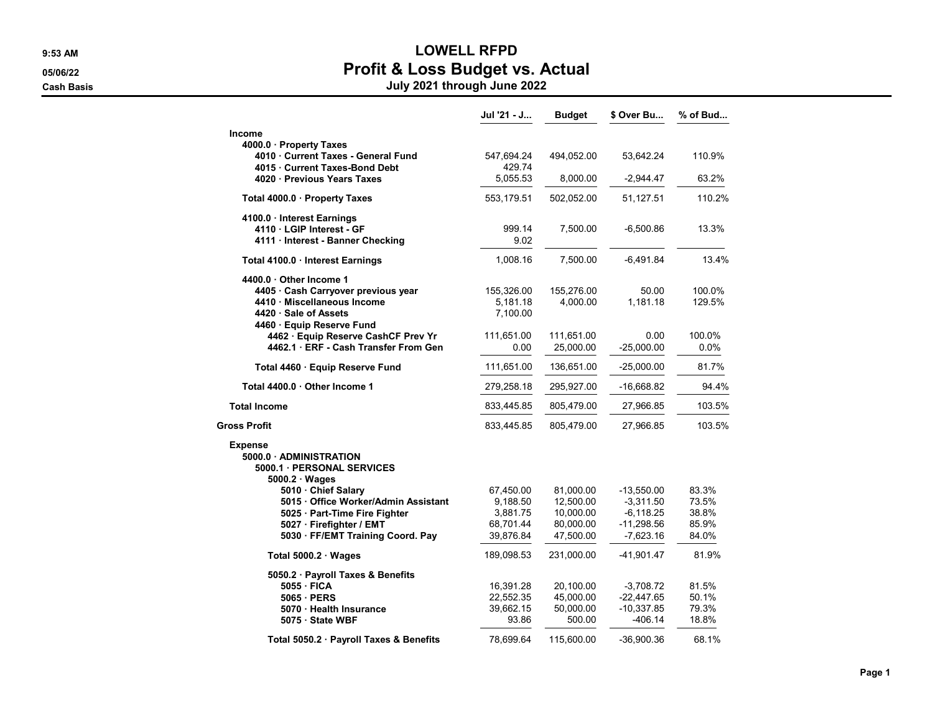## 9:53 AM LOWELL RFPD 05/06/22 **Profit & Loss Budget vs. Actual**

Cash Basis July 2021 through June 2022

|                                                                   | Jul '21 - J           | Budget                 | \$ Over Bu                  | % of Bud       |
|-------------------------------------------------------------------|-----------------------|------------------------|-----------------------------|----------------|
| <b>Income</b>                                                     |                       |                        |                             |                |
| 4000.0 Property Taxes                                             |                       |                        |                             |                |
| 4010 Current Taxes - General Fund<br>4015 Current Taxes-Bond Debt | 547,694.24<br>429.74  | 494,052.00             | 53,642.24                   | 110.9%         |
| 4020 Previous Years Taxes                                         | 5,055.53              | 8,000.00               | $-2,944.47$                 | 63.2%          |
| Total 4000.0 · Property Taxes                                     | 553,179.51            | 502,052.00             | 51,127.51                   | 110.2%         |
| 4100.0 Interest Earnings                                          |                       |                        |                             |                |
| 4110 · LGIP Interest - GF                                         | 999.14                | 7,500.00               | $-6,500.86$                 | 13.3%          |
| 4111 Interest - Banner Checking                                   | 9.02                  |                        |                             |                |
| Total 4100.0 · Interest Earnings                                  | 1,008.16              | 7,500.00               | $-6,491.84$                 | 13.4%          |
| 4400.0 Other Income 1                                             |                       |                        |                             |                |
| 4405 · Cash Carryover previous year                               | 155,326.00            | 155,276.00             | 50.00                       | 100.0%         |
| 4410 · Miscellaneous Income                                       | 5,181.18              | 4,000.00               | 1,181.18                    | 129.5%         |
| 4420 · Sale of Assets                                             | 7,100.00              |                        |                             |                |
| 4460 · Equip Reserve Fund<br>4462 · Equip Reserve CashCF Prev Yr  | 111,651.00            | 111,651.00             | 0.00                        | 100.0%         |
| 4462.1 ERF - Cash Transfer From Gen                               | 0.00                  | 25,000.00              | $-25,000.00$                | 0.0%           |
| Total 4460 · Equip Reserve Fund                                   | 111,651.00            | 136,651.00             | $-25,000.00$                | 81.7%          |
| Total 4400.0 Other Income 1                                       | 279,258.18            | 295,927.00             | -16,668.82                  | 94.4%          |
| <b>Total Income</b>                                               | 833,445.85            | 805,479.00             | 27,966.85                   | 103.5%         |
| <b>Gross Profit</b>                                               | 833,445.85            | 805,479.00             | 27,966.85                   | 103.5%         |
| <b>Expense</b>                                                    |                       |                        |                             |                |
| 5000.0 ADMINISTRATION                                             |                       |                        |                             |                |
| 5000.1 PERSONAL SERVICES                                          |                       |                        |                             |                |
| $5000.2 \cdot Wages$                                              |                       |                        |                             |                |
| 5010 Chief Salary<br>5015 Office Worker/Admin Assistant           | 67,450.00<br>9,188.50 | 81,000.00<br>12,500.00 | $-13,550.00$<br>$-3,311.50$ | 83.3%<br>73.5% |
| 5025 · Part-Time Fire Fighter                                     | 3,881.75              | 10,000.00              | $-6, 118.25$                | 38.8%          |
| 5027 · Firefighter / EMT                                          | 68,701.44             | 80,000.00              | $-11,298.56$                | 85.9%          |
| 5030 · FF/EMT Training Coord. Pay                                 | 39,876.84             | 47,500.00              | $-7,623.16$                 | 84.0%          |
| Total $5000.2 \cdot Wages$                                        | 189,098.53            | 231,000.00             | -41,901.47                  | 81.9%          |
| 5050.2 · Payroll Taxes & Benefits                                 |                       |                        |                             |                |
| 5055 FICA                                                         | 16,391.28             | 20,100.00              | $-3,708.72$                 | 81.5%          |
| 5065 PERS                                                         | 22,552.35             | 45,000.00              | $-22,447.65$                | 50.1%          |
| 5070 · Health Insurance                                           | 39,662.15             | 50,000.00              | $-10,337.85$                | 79.3%          |
| 5075 · State WBF                                                  | 93.86                 | 500.00                 | -406.14                     | 18.8%          |
| Total 5050.2 · Payroll Taxes & Benefits                           | 78,699.64             | 115,600.00             | -36,900.36                  | 68.1%          |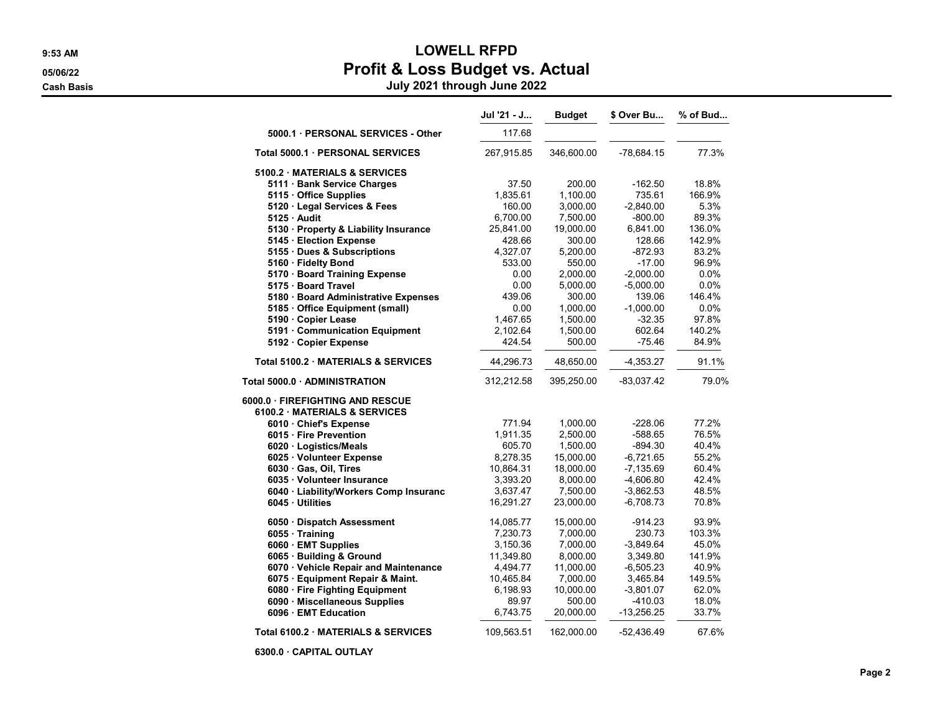## 9:53 AM LOWELL RFPD 05/06/22 **Profit & Loss Budget vs. Actual**

Cash Basis July 2021 through June 2022

|                                        | Jul '21 - J | <b>Budget</b> | \$ Over Bu  | % of Bud |
|----------------------------------------|-------------|---------------|-------------|----------|
| 5000.1 · PERSONAL SERVICES - Other     | 117.68      |               |             |          |
| Total 5000.1 · PERSONAL SERVICES       | 267,915.85  | 346,600.00    | -78,684.15  | 77.3%    |
| 5100.2 MATERIALS & SERVICES            |             |               |             |          |
| 5111 · Bank Service Charges            | 37.50       | 200.00        | $-162.50$   | 18.8%    |
| 5115 Office Supplies                   | 1,835.61    | 1,100.00      | 735.61      | 166.9%   |
| 5120 · Legal Services & Fees           | 160.00      | 3,000.00      | $-2,840.00$ | 5.3%     |
| $5125 \cdot$ Audit                     | 6,700.00    | 7,500.00      | $-800.00$   | 89.3%    |
| 5130 · Property & Liability Insurance  | 25,841.00   | 19,000.00     | 6,841.00    | 136.0%   |
| 5145 · Election Expense                | 428.66      | 300.00        | 128.66      | 142.9%   |
| 5155 · Dues & Subscriptions            | 4,327.07    | 5,200.00      | $-872.93$   | 83.2%    |
| 5160 · Fidelty Bond                    | 533.00      | 550.00        | $-17.00$    | 96.9%    |
| 5170 · Board Training Expense          | 0.00        | 2,000.00      | $-2,000.00$ | 0.0%     |
| 5175 · Board Travel                    | 0.00        | 5,000.00      | $-5,000.00$ | 0.0%     |
| 5180 · Board Administrative Expenses   | 439.06      | 300.00        | 139.06      | 146.4%   |
| 5185 · Office Equipment (small)        | 0.00        | 1,000.00      | $-1,000.00$ | 0.0%     |
| 5190 · Copier Lease                    | 1,467.65    | 1,500.00      | $-32.35$    | 97.8%    |
| 5191 Communication Equipment           | 2,102.64    | 1,500.00      | 602.64      | 140.2%   |
| 5192 · Copier Expense                  | 424.54      | 500.00        | $-75.46$    | 84.9%    |
| Total 5100.2 · MATERIALS & SERVICES    | 44,296.73   | 48,650.00     | $-4,353.27$ | 91.1%    |
| Total 5000.0 ADMINISTRATION            | 312,212.58  | 395,250.00    | -83,037.42  | 79.0%    |
| 6000.0 · FIREFIGHTING AND RESCUE       |             |               |             |          |
| 6100.2 · MATERIALS & SERVICES          |             |               |             |          |
| 6010 Chief's Expense                   | 771.94      | 1,000.00      | $-228.06$   | 77.2%    |
| 6015 · Fire Prevention                 | 1,911.35    | 2,500.00      | -588.65     | 76.5%    |
| 6020 · Logistics/Meals                 | 605.70      | 1,500.00      | $-894.30$   | 40.4%    |
| 6025 · Volunteer Expense               | 8,278.35    | 15,000.00     | -6,721.65   | 55.2%    |
| 6030 · Gas, Oil, Tires                 | 10,864.31   | 18,000.00     | $-7,135.69$ | 60.4%    |
| 6035 · Volunteer Insurance             | 3,393.20    | 8,000.00      | $-4,606.80$ | 42.4%    |
| 6040 · Liability/Workers Comp Insuranc | 3,637.47    | 7,500.00      | $-3,862.53$ | 48.5%    |
| 6045 Utilities                         | 16,291.27   | 23,000.00     | $-6,708.73$ | 70.8%    |
| 6050 · Dispatch Assessment             | 14,085.77   | 15,000.00     | -914.23     | 93.9%    |
| 6055 Training                          | 7,230.73    | 7,000.00      | 230.73      | 103.3%   |
| 6060 · EMT Supplies                    | 3,150.36    | 7,000.00      | $-3,849.64$ | 45.0%    |
| 6065 · Building & Ground               | 11,349.80   | 8,000.00      | 3,349.80    | 141.9%   |
| 6070 · Vehicle Repair and Maintenance  | 4,494.77    | 11,000.00     | $-6,505.23$ | 40.9%    |
| 6075 · Equipment Repair & Maint.       | 10,465.84   | 7,000.00      | 3,465.84    | 149.5%   |
| 6080 · Fire Fighting Equipment         | 6,198.93    | 10,000.00     | $-3,801.07$ | 62.0%    |
| 6090 · Miscellaneous Supplies          | 89.97       | 500.00        | $-410.03$   | 18.0%    |
| 6096 · EMT Education                   | 6,743.75    | 20,000.00     | -13,256.25  | 33.7%    |
| Total 6100.2 MATERIALS & SERVICES      | 109,563.51  | 162,000.00    | -52,436.49  | 67.6%    |

6300.0 · CAPITAL OUTLAY